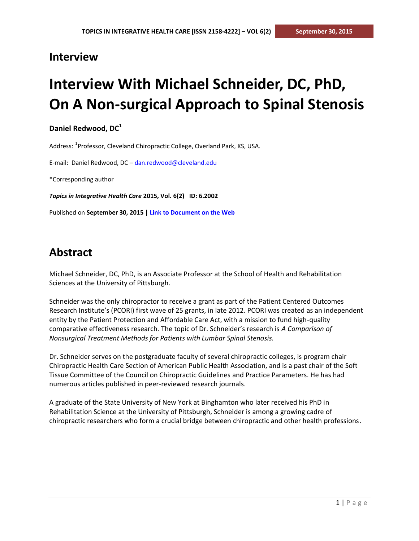# **Interview**

# **Interview With Michael Schneider, DC, PhD, On A Non-surgical Approach to Spinal Stenosis**

**Daniel Redwood, DC<sup>1</sup>**

Address: <sup>1</sup>Professor, Cleveland Chiropractic College, Overland Park, KS, USA.

E-mail: Daniel Redwood, DC – [dan.redwood@cleveland.edu](mailto:dan.redwood@cleveland.edu)

\*Corresponding author

*Topics in Integrative Health Care* **2015, Vol. 6(2) ID: 6.2002**

Published on **September 30, 2015 | [Link to Document on the Web](http://www.tihcij.com/Articles/Interview-With-Michael-Schneider-DC-PhD-On-A-Non-surgical-Approach-to-Spinal-Stenosis.aspx?id=0000452)**

# **Abstract**

Michael Schneider, DC, PhD, is an Associate Professor at the School of Health and Rehabilitation Sciences at the University of Pittsburgh.

Schneider was the only chiropractor to receive a grant as part of the Patient Centered Outcomes Research Institute's (PCORI) first wave of 25 grants, in late 2012. PCORI was created as an independent entity by the Patient Protection and Affordable Care Act, with a mission to fund high-quality comparative effectiveness research. The topic of Dr. Schneider's research is *A Comparison of Nonsurgical Treatment Methods for Patients with Lumbar Spinal Stenosis.*

Dr. Schneider serves on the postgraduate faculty of several chiropractic colleges, is program chair Chiropractic Health Care Section of American Public Health Association, and is a past chair of the Soft Tissue Committee of the Council on Chiropractic Guidelines and Practice Parameters. He has had numerous articles published in peer-reviewed research journals.

A graduate of the State University of New York at Binghamton who later received his PhD in Rehabilitation Science at the University of Pittsburgh, Schneider is among a growing cadre of chiropractic researchers who form a crucial bridge between chiropractic and other health professions.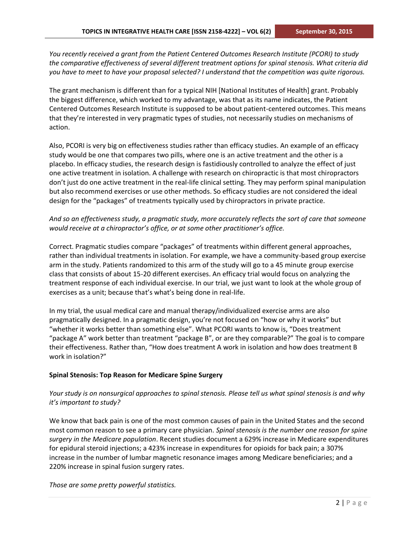*You recently received a grant from the Patient Centered Outcomes Research Institute (PCORI) to study the comparative effectiveness of several different treatment options for spinal stenosis. What criteria did you have to meet to have your proposal selected? I understand that the competition was quite rigorous.*

The grant mechanism is different than for a typical NIH [National Institutes of Health] grant. Probably the biggest difference, which worked to my advantage, was that as its name indicates, the Patient Centered Outcomes Research Institute is supposed to be about patient-centered outcomes. This means that they're interested in very pragmatic types of studies, not necessarily studies on mechanisms of action.

Also, PCORI is very big on effectiveness studies rather than efficacy studies. An example of an efficacy study would be one that compares two pills, where one is an active treatment and the other is a placebo. In efficacy studies, the research design is fastidiously controlled to analyze the effect of just one active treatment in isolation. A challenge with research on chiropractic is that most chiropractors don't just do one active treatment in the real-life clinical setting. They may perform spinal manipulation but also recommend exercises or use other methods. So efficacy studies are not considered the ideal design for the "packages" of treatments typically used by chiropractors in private practice.

# *And so an effectiveness study, a pragmatic study, more accurately reflects the sort of care that someone would receive at a chiropractor's office, or at some other practitioner's office.*

Correct. Pragmatic studies compare "packages" of treatments within different general approaches, rather than individual treatments in isolation. For example, we have a community-based group exercise arm in the study. Patients randomized to this arm of the study will go to a 45 minute group exercise class that consists of about 15-20 different exercises. An efficacy trial would focus on analyzing the treatment response of each individual exercise. In our trial, we just want to look at the whole group of exercises as a unit; because that's what's being done in real-life.

In my trial, the usual medical care and manual therapy/individualized exercise arms are also pragmatically designed. In a pragmatic design, you're not focused on "how or why it works" but "whether it works better than something else". What PCORI wants to know is, "Does treatment "package A" work better than treatment "package B", or are they comparable?" The goal is to compare their effectiveness. Rather than, "How does treatment A work in isolation and how does treatment B work in isolation?"

#### **Spinal Stenosis: Top Reason for Medicare Spine Surgery**

# *Your study is on nonsurgical approaches to spinal stenosis. Please tell us what spinal stenosis is and why it's important to study?*

We know that back pain is one of the most common causes of pain in the United States and the second most common reason to see a primary care physician. *Spinal stenosis is the number one reason for spine surgery in the Medicare population*. Recent studies document a 629% increase in Medicare expenditures for epidural steroid injections; a 423% increase in expenditures for opioids for back pain; a 307% increase in the number of lumbar magnetic resonance images among Medicare beneficiaries; and a 220% increase in spinal fusion surgery rates.

*Those are some pretty powerful statistics.*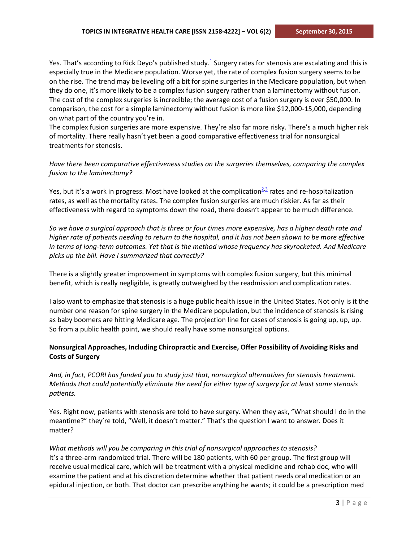Yes[.](http://www.cleveland.edu/hit/marapr-2013-vol-6-no-2/dc-receives-federal-grant-study-nonsurgical-alternatives-surgery/#_ENREF_1) That's according to Rick Deyo's published study.<sup>1</sup> Surgery rates for stenosis are escalating and this is especially true in the Medicare population. Worse yet, the rate of complex fusion surgery seems to be on the rise. The trend may be leveling off a bit for spine surgeries in the Medicare population, but when they do one, it's more likely to be a complex fusion surgery rather than a laminectomy without fusion. The cost of the complex surgeries is incredible; the average cost of a fusion surgery is over \$50,000. In comparison, the cost for a simple laminectomy without fusion is more like \$12,000-15,000, depending on what part of the country you're in.

The complex fusion surgeries are more expensive. They're also far more risky. There's a much higher risk of mortality. There really hasn't yet been a good comparative effectiveness trial for nonsurgical treatments for stenosis.

*Have there been comparative effectiveness studies on the surgeries themselves, comparing the complex fusion to the laminectomy?*

Yes, but it's a work in progress. Most have looked at the complication<sup>[2,](http://www.cleveland.edu/hit/marapr-2013-vol-6-no-2/dc-receives-federal-grant-study-nonsurgical-alternatives-surgery/#_ENREF_2)[3](http://www.cleveland.edu/hit/marapr-2013-vol-6-no-2/dc-receives-federal-grant-study-nonsurgical-alternatives-surgery/#_ENREF_3)</sup> rates and re-hospitalization rates, as well as the mortality rates. The complex fusion surgeries are much riskier. As far as their effectiveness with regard to symptoms down the road, there doesn't appear to be much difference.

*So we have a surgical approach that is three or four times more expensive, has a higher death rate and higher rate of patients needing to return to the hospital, and it has not been shown to be more effective in terms of long-term outcomes. Yet that is the method whose frequency has skyrocketed. And Medicare picks up the bill. Have I summarized that correctly?*

There is a slightly greater improvement in symptoms with complex fusion surgery, but this minimal benefit, which is really negligible, is greatly outweighed by the readmission and complication rates.

I also want to emphasize that stenosis is a huge public health issue in the United States. Not only is it the number one reason for spine surgery in the Medicare population, but the incidence of stenosis is rising as baby boomers are hitting Medicare age. The projection line for cases of stenosis is going up, up, up. So from a public health point, we should really have some nonsurgical options.

## **Nonsurgical Approaches, Including Chiropractic and Exercise, Offer Possibility of Avoiding Risks and Costs of Surgery**

*And, in fact, PCORI has funded you to study just that, nonsurgical alternatives for stenosis treatment. Methods that could potentially eliminate the need for either type of surgery for at least some stenosis patients.*

Yes. Right now, patients with stenosis are told to have surgery. When they ask, "What should I do in the meantime?" they're told, "Well, it doesn't matter." That's the question I want to answer. Does it matter?

*What methods will you be comparing in this trial of nonsurgical approaches to stenosis?* It's a three-arm randomized trial. There will be 180 patients, with 60 per group. The first group will receive usual medical care, which will be treatment with a physical medicine and rehab doc, who will examine the patient and at his discretion determine whether that patient needs oral medication or an epidural injection, or both. That doctor can prescribe anything he wants; it could be a prescription med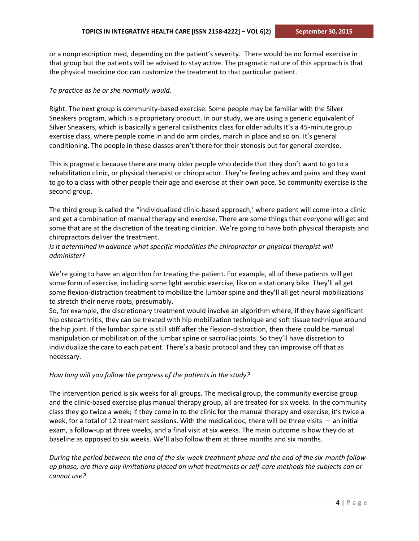or a nonprescription med, depending on the patient's severity. There would be no formal exercise in that group but the patients will be advised to stay active. The pragmatic nature of this approach is that the physical medicine doc can customize the treatment to that particular patient.

#### *To practice as he or she normally would.*

Right. The next group is community-based exercise. Some people may be familiar with the Silver Sneakers program, which is a proprietary product. In our study, we are using a generic equivalent of Silver Sneakers, which is basically a general calisthenics class for older adults It's a 45-minute group exercise class, where people come in and do arm circles, march in place and so on. It's general conditioning. The people in these classes aren't there for their stenosis but for general exercise.

This is pragmatic because there are many older people who decide that they don't want to go to a rehabilitation clinic, or physical therapist or chiropractor. They're feeling aches and pains and they want to go to a class with other people their age and exercise at their own pace. So community exercise is the second group.

The third group is called the "individualized clinic-based approach,' where patient will come into a clinic and get a combination of manual therapy and exercise. There are some things that everyone will get and some that are at the discretion of the treating clinician. We're going to have both physical therapists and chiropractors deliver the treatment.

## *Is it determined in advance what specific modalities the chiropractor or physical therapist will administer?*

We're going to have an algorithm for treating the patient. For example, all of these patients will get some form of exercise, including some light aerobic exercise, like on a stationary bike. They'll all get some flexion-distraction treatment to mobilize the lumbar spine and they'll all get neural mobilizations to stretch their nerve roots, presumably.

So, for example, the discretionary treatment would involve an algorithm where, if they have significant hip osteoarthritis, they can be treated with hip mobilization technique and soft tissue technique around the hip joint. If the lumbar spine is still stiff after the flexion-distraction, then there could be manual manipulation or mobilization of the lumbar spine or sacroiliac joints. So they'll have discretion to individualize the care to each patient. There's a basic protocol and they can improvise off that as necessary.

#### *How long will you follow the progress of the patients in the study?*

The intervention period is six weeks for all groups. The medical group, the community exercise group and the clinic-based exercise plus manual therapy group, all are treated for six weeks. In the community class they go twice a week; if they come in to the clinic for the manual therapy and exercise, it's twice a week, for a total of 12 treatment sessions. With the medical doc, there will be three visits — an initial exam, a follow-up at three weeks, and a final visit at six weeks. The main outcome is how they do at baseline as opposed to six weeks. We'll also follow them at three months and six months.

*During the period between the end of the six-week treatment phase and the end of the six-month followup phase, are there any limitations placed on what treatments or self-care methods the subjects can or cannot use?*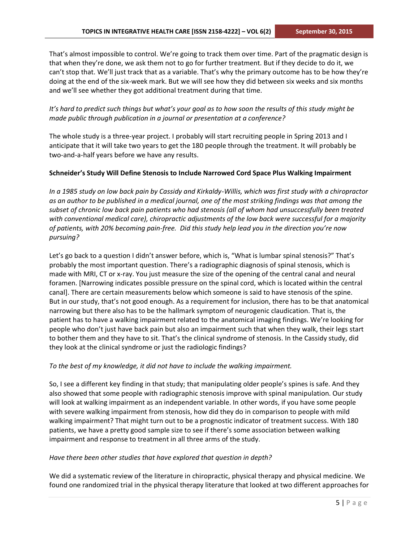That's almost impossible to control. We're going to track them over time. Part of the pragmatic design is that when they're done, we ask them not to go for further treatment. But if they decide to do it, we can't stop that. We'll just track that as a variable. That's why the primary outcome has to be how they're doing at the end of the six-week mark. But we will see how they did between six weeks and six months and we'll see whether they got additional treatment during that time.

## *It's hard to predict such things but what's your goal as to how soon the results of this study might be made public through publication in a journal or presentation at a conference?*

The whole study is a three-year project. I probably will start recruiting people in Spring 2013 and I anticipate that it will take two years to get the 180 people through the treatment. It will probably be two-and-a-half years before we have any results.

#### **Schneider's Study Will Define Stenosis to Include Narrowed Cord Space Plus Walking Impairment**

*In a 1985 study on low back pain by Cassidy and Kirkaldy-Willis, which was first study with a chiropractor as an author to be published in a medical journal, one of the most striking findings was that among the subset of chronic low back pain patients who had stenosis (all of whom had unsuccessfully been treated with conventional medical care), chiropractic adjustments of the low back were successful for a majority of patients, with 20% becoming pain-free. Did this study help lead you in the direction you're now pursuing?* 

Let's go back to a question I didn't answer before, which is, "What is lumbar spinal stenosis?" That's probably the most important question. There's a radiographic diagnosis of spinal stenosis, which is made with MRI, CT or x-ray. You just measure the size of the opening of the central canal and neural foramen. [Narrowing indicates possible pressure on the spinal cord, which is located within the central canal]. There are certain measurements below which someone is said to have stenosis of the spine. But in our study, that's not good enough. As a requirement for inclusion, there has to be that anatomical narrowing but there also has to be the hallmark symptom of neurogenic claudication. That is, the patient has to have a walking impairment related to the anatomical imaging findings. We're looking for people who don't just have back pain but also an impairment such that when they walk, their legs start to bother them and they have to sit. That's the clinical syndrome of stenosis. In the Cassidy study, did they look at the clinical syndrome or just the radiologic findings?

#### *To the best of my knowledge, it did not have to include the walking impairment.*

So, I see a different key finding in that study; that manipulating older people's spines is safe. And they also showed that some people with radiographic stenosis improve with spinal manipulation. Our study will look at walking impairment as an independent variable. In other words, if you have some people with severe walking impairment from stenosis, how did they do in comparison to people with mild walking impairment? That might turn out to be a prognostic indicator of treatment success. With 180 patients, we have a pretty good sample size to see if there's some association between walking impairment and response to treatment in all three arms of the study.

#### *Have there been other studies that have explored that question in depth?*

We did a systematic review of the literature in chiropractic, physical therapy and physical medicine. We found one randomized trial in the physical therapy literature that looked at two different approaches for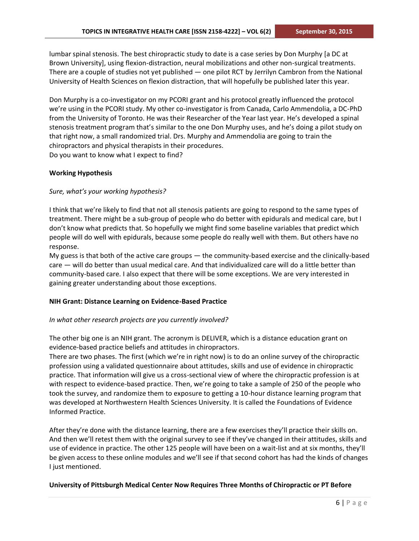lumbar spinal stenosis. The best chiropractic study to date is a case series by Don Murphy [a DC at Brown University], using flexion-distraction, neural mobilizations and other non-surgical treatments. There are a couple of studies not yet published — one pilot RCT by Jerrilyn Cambron from the National University of Health Sciences on flexion distraction, that will hopefully be published later this year.

Don Murphy is a co-investigator on my PCORI grant and his protocol greatly influenced the protocol we're using in the PCORI study. My other co-investigator is from Canada, Carlo Ammendolia, a DC-PhD from the University of Toronto. He was their Researcher of the Year last year. He's developed a spinal stenosis treatment program that's similar to the one Don Murphy uses, and he's doing a pilot study on that right now, a small randomized trial. Drs. Murphy and Ammendolia are going to train the chiropractors and physical therapists in their procedures. Do you want to know what I expect to find?

#### **Working Hypothesis**

#### *Sure, what's your working hypothesis?*

I think that we're likely to find that not all stenosis patients are going to respond to the same types of treatment. There might be a sub-group of people who do better with epidurals and medical care, but I don't know what predicts that. So hopefully we might find some baseline variables that predict which people will do well with epidurals, because some people do really well with them. But others have no response.

My guess is that both of the active care groups — the community-based exercise and the clinically-based care — will do better than usual medical care. And that individualized care will do a little better than community-based care. I also expect that there will be some exceptions. We are very interested in gaining greater understanding about those exceptions.

#### **NIH Grant: Distance Learning on Evidence-Based Practice**

#### *In what other research projects are you currently involved?*

The other big one is an NIH grant. The acronym is DELIVER, which is a distance education grant on evidence-based practice beliefs and attitudes in chiropractors.

There are two phases. The first (which we're in right now) is to do an online survey of the chiropractic profession using a validated questionnaire about attitudes, skills and use of evidence in chiropractic practice. That information will give us a cross-sectional view of where the chiropractic profession is at with respect to evidence-based practice. Then, we're going to take a sample of 250 of the people who took the survey, and randomize them to exposure to getting a 10-hour distance learning program that was developed at Northwestern Health Sciences University. It is called the Foundations of Evidence Informed Practice.

After they're done with the distance learning, there are a few exercises they'll practice their skills on. And then we'll retest them with the original survey to see if they've changed in their attitudes, skills and use of evidence in practice. The other 125 people will have been on a wait-list and at six months, they'll be given access to these online modules and we'll see if that second cohort has had the kinds of changes I just mentioned.

#### **University of Pittsburgh Medical Center Now Requires Three Months of Chiropractic or PT Before**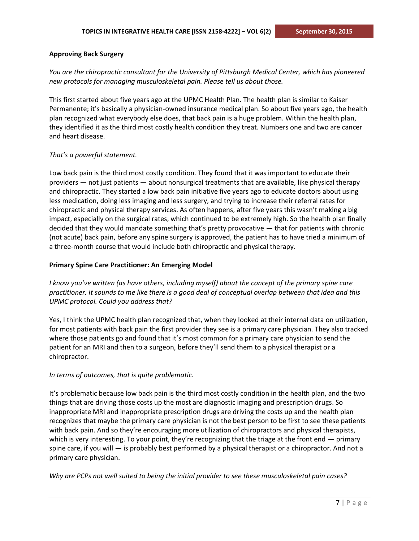#### **Approving Back Surgery**

*You are the chiropractic consultant for the University of Pittsburgh Medical Center, which has pioneered new protocols for managing musculoskeletal pain. Please tell us about those.*

This first started about five years ago at the UPMC Health Plan. The health plan is similar to Kaiser Permanente; it's basically a physician-owned insurance medical plan. So about five years ago, the health plan recognized what everybody else does, that back pain is a huge problem. Within the health plan, they identified it as the third most costly health condition they treat. Numbers one and two are cancer and heart disease.

#### *That's a powerful statement.*

Low back pain is the third most costly condition. They found that it was important to educate their providers — not just patients — about nonsurgical treatments that are available, like physical therapy and chiropractic. They started a low back pain initiative five years ago to educate doctors about using less medication, doing less imaging and less surgery, and trying to increase their referral rates for chiropractic and physical therapy services. As often happens, after five years this wasn't making a big impact, especially on the surgical rates, which continued to be extremely high. So the health plan finally decided that they would mandate something that's pretty provocative — that for patients with chronic (not acute) back pain, before any spine surgery is approved, the patient has to have tried a minimum of a three-month course that would include both chiropractic and physical therapy.

#### **Primary Spine Care Practitioner: An Emerging Model**

*I know you've written (as have others, including myself) about the concept of the primary spine care practitioner. It sounds to me like there is a good deal of conceptual overlap between that idea and this UPMC protocol. Could you address that?*

Yes, I think the UPMC health plan recognized that, when they looked at their internal data on utilization, for most patients with back pain the first provider they see is a primary care physician. They also tracked where those patients go and found that it's most common for a primary care physician to send the patient for an MRI and then to a surgeon, before they'll send them to a physical therapist or a chiropractor.

#### *In terms of outcomes, that is quite problematic.*

It's problematic because low back pain is the third most costly condition in the health plan, and the two things that are driving those costs up the most are diagnostic imaging and prescription drugs. So inappropriate MRI and inappropriate prescription drugs are driving the costs up and the health plan recognizes that maybe the primary care physician is not the best person to be first to see these patients with back pain. And so they're encouraging more utilization of chiropractors and physical therapists, which is very interesting. To your point, they're recognizing that the triage at the front end – primary spine care, if you will — is probably best performed by a physical therapist or a chiropractor. And not a primary care physician.

*Why are PCPs not well suited to being the initial provider to see these musculoskeletal pain cases?*